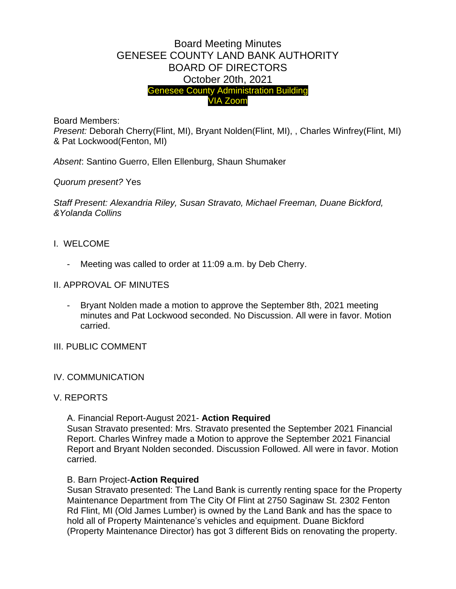# Board Meeting Minutes GENESEE COUNTY LAND BANK AUTHORITY BOARD OF DIRECTORS October 20th, 2021 Genesee County Administration Building VIA Zoom

Board Members:

*Present:* Deborah Cherry(Flint, MI), Bryant Nolden(Flint, MI), , Charles Winfrey(Flint, MI) & Pat Lockwood(Fenton, MI)

*Absent*: Santino Guerro, Ellen Ellenburg, Shaun Shumaker

*Quorum present?* Yes

*Staff Present: Alexandria Riley, Susan Stravato, Michael Freeman, Duane Bickford, &Yolanda Collins*

- I. WELCOME
	- Meeting was called to order at 11:09 a.m. by Deb Cherry.
- II. APPROVAL OF MINUTES
	- Bryant Nolden made a motion to approve the September 8th, 2021 meeting minutes and Pat Lockwood seconded. No Discussion. All were in favor. Motion carried.
- III. PUBLIC COMMENT
- IV. COMMUNICATION

## V. REPORTS

A. Financial Report-August 2021- **Action Required**

Susan Stravato presented: Mrs. Stravato presented the September 2021 Financial Report. Charles Winfrey made a Motion to approve the September 2021 Financial Report and Bryant Nolden seconded. Discussion Followed. All were in favor. Motion carried.

#### B. Barn Project-**Action Required**

Susan Stravato presented: The Land Bank is currently renting space for the Property Maintenance Department from The City Of Flint at 2750 Saginaw St. 2302 Fenton Rd Flint, MI (Old James Lumber) is owned by the Land Bank and has the space to hold all of Property Maintenance's vehicles and equipment. Duane Bickford (Property Maintenance Director) has got 3 different Bids on renovating the property.